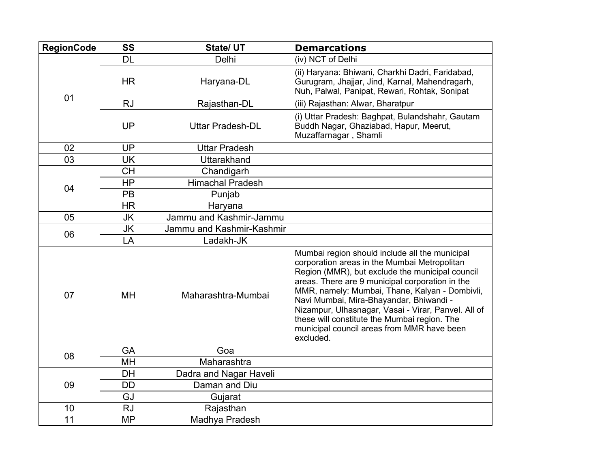| <b>RegionCode</b> | <b>SS</b> | State/ UT                 | <b>Demarcations</b>                                                                                                                                                                                                                                                                                                                                                                                                                                                 |
|-------------------|-----------|---------------------------|---------------------------------------------------------------------------------------------------------------------------------------------------------------------------------------------------------------------------------------------------------------------------------------------------------------------------------------------------------------------------------------------------------------------------------------------------------------------|
| 01                | <b>DL</b> | Delhi                     | (iv) NCT of Delhi                                                                                                                                                                                                                                                                                                                                                                                                                                                   |
|                   | <b>HR</b> | Haryana-DL                | (ii) Haryana: Bhiwani, Charkhi Dadri, Faridabad,<br>Gurugram, Jhajjar, Jind, Karnal, Mahendragarh,<br>Nuh, Palwal, Panipat, Rewari, Rohtak, Sonipat                                                                                                                                                                                                                                                                                                                 |
|                   | <b>RJ</b> | Rajasthan-DL              | (iii) Rajasthan: Alwar, Bharatpur                                                                                                                                                                                                                                                                                                                                                                                                                                   |
|                   | <b>UP</b> | <b>Uttar Pradesh-DL</b>   | (i) Uttar Pradesh: Baghpat, Bulandshahr, Gautam<br>Buddh Nagar, Ghaziabad, Hapur, Meerut,<br>Muzaffarnagar, Shamli                                                                                                                                                                                                                                                                                                                                                  |
| 02                | <b>UP</b> | <b>Uttar Pradesh</b>      |                                                                                                                                                                                                                                                                                                                                                                                                                                                                     |
| 03                | <b>UK</b> | Uttarakhand               |                                                                                                                                                                                                                                                                                                                                                                                                                                                                     |
| 04                | <b>CH</b> | Chandigarh                |                                                                                                                                                                                                                                                                                                                                                                                                                                                                     |
|                   | <b>HP</b> | <b>Himachal Pradesh</b>   |                                                                                                                                                                                                                                                                                                                                                                                                                                                                     |
|                   | PB        | Punjab                    |                                                                                                                                                                                                                                                                                                                                                                                                                                                                     |
|                   | <b>HR</b> | Haryana                   |                                                                                                                                                                                                                                                                                                                                                                                                                                                                     |
| 05                | <b>JK</b> | Jammu and Kashmir-Jammu   |                                                                                                                                                                                                                                                                                                                                                                                                                                                                     |
| 06                | <b>JK</b> | Jammu and Kashmir-Kashmir |                                                                                                                                                                                                                                                                                                                                                                                                                                                                     |
|                   | LA        | Ladakh-JK                 |                                                                                                                                                                                                                                                                                                                                                                                                                                                                     |
| 07                | <b>MH</b> | Maharashtra-Mumbai        | Mumbai region should include all the municipal<br>corporation areas in the Mumbai Metropolitan<br>Region (MMR), but exclude the municipal council<br>areas. There are 9 municipal corporation in the<br>MMR, namely: Mumbai, Thane, Kalyan - Dombivli,<br>Navi Mumbai, Mira-Bhayandar, Bhiwandi -<br>Nizampur, Ulhasnagar, Vasai - Virar, Panvel. All of<br>these will constitute the Mumbai region. The<br>municipal council areas from MMR have been<br>excluded. |
| 08                | <b>GA</b> | Goa                       |                                                                                                                                                                                                                                                                                                                                                                                                                                                                     |
|                   | MH        | Maharashtra               |                                                                                                                                                                                                                                                                                                                                                                                                                                                                     |
| 09                | <b>DH</b> | Dadra and Nagar Haveli    |                                                                                                                                                                                                                                                                                                                                                                                                                                                                     |
|                   | <b>DD</b> | Daman and Diu             |                                                                                                                                                                                                                                                                                                                                                                                                                                                                     |
|                   | GJ        | Gujarat                   |                                                                                                                                                                                                                                                                                                                                                                                                                                                                     |
| 10                | <b>RJ</b> | Rajasthan                 |                                                                                                                                                                                                                                                                                                                                                                                                                                                                     |
| 11                | <b>MP</b> | Madhya Pradesh            |                                                                                                                                                                                                                                                                                                                                                                                                                                                                     |